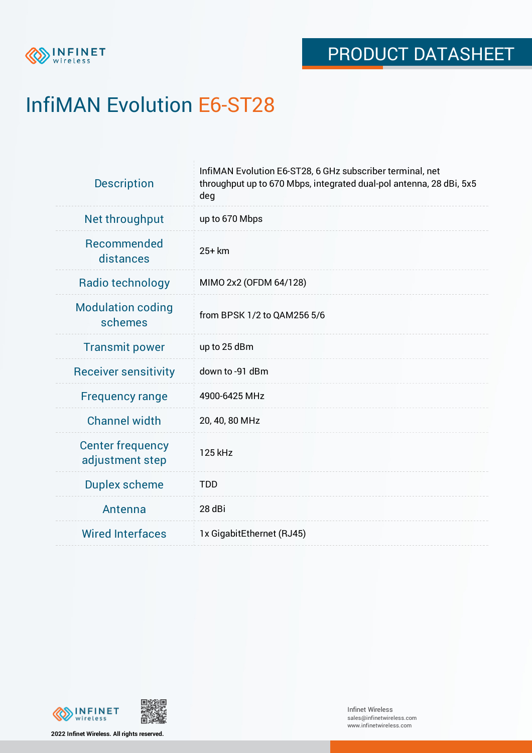

# InfiMAN Evolution E6-ST28

| <b>Description</b>                         | InfiMAN Evolution E6-ST28, 6 GHz subscriber terminal, net<br>throughput up to 670 Mbps, integrated dual-pol antenna, 28 dBi, 5x5<br>deg |  |  |  |
|--------------------------------------------|-----------------------------------------------------------------------------------------------------------------------------------------|--|--|--|
| Net throughput                             | up to 670 Mbps                                                                                                                          |  |  |  |
| Recommended<br>distances                   | $25+km$                                                                                                                                 |  |  |  |
| Radio technology                           | MIMO 2x2 (OFDM 64/128)                                                                                                                  |  |  |  |
| <b>Modulation coding</b><br>schemes        | from BPSK 1/2 to QAM256 5/6                                                                                                             |  |  |  |
| <b>Transmit power</b>                      | up to 25 dBm                                                                                                                            |  |  |  |
| <b>Receiver sensitivity</b>                | down to -91 dBm                                                                                                                         |  |  |  |
| <b>Frequency range</b>                     | 4900-6425 MHz                                                                                                                           |  |  |  |
| <b>Channel width</b>                       | 20, 40, 80 MHz                                                                                                                          |  |  |  |
| <b>Center frequency</b><br>adjustment step | 125 kHz                                                                                                                                 |  |  |  |
| <b>Duplex scheme</b>                       | <b>TDD</b>                                                                                                                              |  |  |  |
| Antenna                                    | 28 dBi                                                                                                                                  |  |  |  |
| <b>Wired Interfaces</b>                    | 1x GigabitEthernet (RJ45)                                                                                                               |  |  |  |



**2022 Infinet Wireless. All rights reserved.**

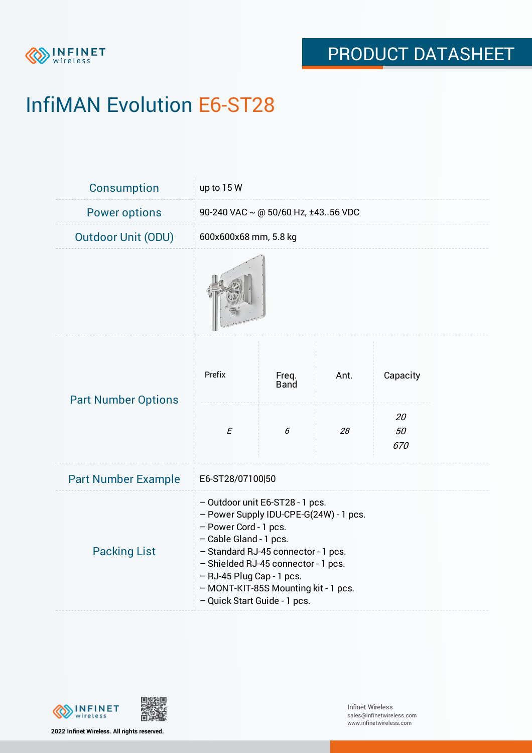

# InfiMAN Evolution E6-ST28

| <b>Consumption</b>         | up to 15 W                                                                                                                                                                                                                                                                                                      |                      |      |                 |  |  |
|----------------------------|-----------------------------------------------------------------------------------------------------------------------------------------------------------------------------------------------------------------------------------------------------------------------------------------------------------------|----------------------|------|-----------------|--|--|
| <b>Power options</b>       | 90-240 VAC ~ @ 50/60 Hz, ±4356 VDC                                                                                                                                                                                                                                                                              |                      |      |                 |  |  |
| <b>Outdoor Unit (ODU)</b>  | 600x600x68 mm, 5.8 kg                                                                                                                                                                                                                                                                                           |                      |      |                 |  |  |
|                            |                                                                                                                                                                                                                                                                                                                 |                      |      |                 |  |  |
| <b>Part Number Options</b> | Prefix                                                                                                                                                                                                                                                                                                          | Freq.<br><b>Band</b> | Ant. | Capacity        |  |  |
|                            | $\cal E$                                                                                                                                                                                                                                                                                                        | 6                    | 28   | 20<br>50<br>670 |  |  |
| <b>Part Number Example</b> | E6-ST28/07100 50                                                                                                                                                                                                                                                                                                |                      |      |                 |  |  |
| <b>Packing List</b>        | - Outdoor unit E6-ST28 - 1 pcs.<br>- Power Supply IDU-CPE-G(24W) - 1 pcs.<br>- Power Cord - 1 pcs.<br>- Cable Gland - 1 pcs.<br>- Standard RJ-45 connector - 1 pcs.<br>- Shielded RJ-45 connector - 1 pcs.<br>- RJ-45 Plug Cap - 1 pcs.<br>- MONT-KIT-85S Mounting kit - 1 pcs.<br>- Quick Start Guide - 1 pcs. |                      |      |                 |  |  |



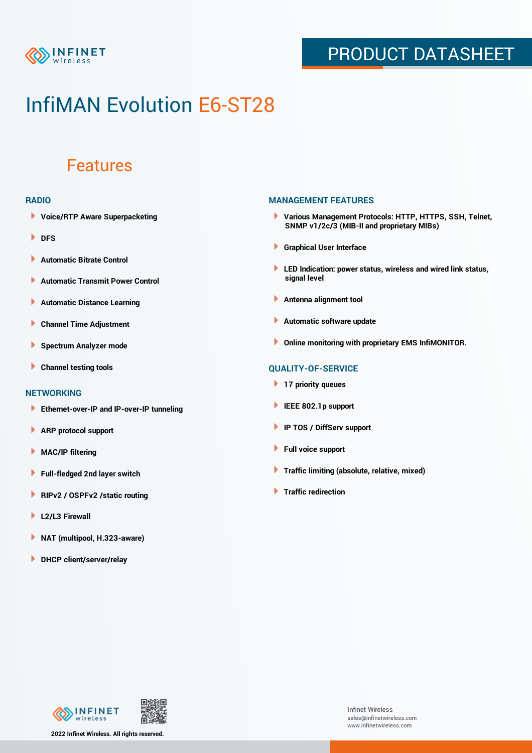

### PRODUCT DATASHEET

## InfiMAN Evolution E6-ST28

### Features

#### **RADIO**

- **Voice/RTP Aware Superpacketing**
- **DFS**
- **Automatic Bitrate Control** Þ
- Þ **Automatic Transmit Power Control**
- Þ **Automatic Distance Learning**
- Þ **Channel Time Adjustment**
- Þ **Spectrum Analyzer mode**
- Þ **Channel testing tools**

#### **NETWORKING**

- **Ethernet-over-IP and IP-over-IP tunneling**
- Þ **ARP protocol support**
- **MAC/IP filtering** Þ
- **Full-fledged 2nd layer switch**
- Þ **RIPv2 / OSPFv2 /static routing**
- ٠ **L2/L3 Firewall**
- × **NAT (multipool, H.323-aware)**
- **DHCP client/server/relay**

#### **MANAGEMENT FEATURES**

- **Various Management Protocols: HTTP, HTTPS, SSH, Telnet, SNMP v1/2c/3 (MIB-II and proprietary MIBs)**
- **Graphical User Interface**
- **LED Indication: power status, wireless and wired link status, signal level**
- **Antenna alignment tool**
- ٠ **Automatic software update**
- **Online monitoring with proprietary EMS InfiMONITOR.**

### **QUALITY-OF-SERVICE**

- **17 priority queues**
- **IEEE 802.1p support**
- **IP TOS / DiffServ support**
- ٠ **Full voice support**
- **Traffic limiting (absolute, relative, mixed)** ٠
- **Traffic redirection**



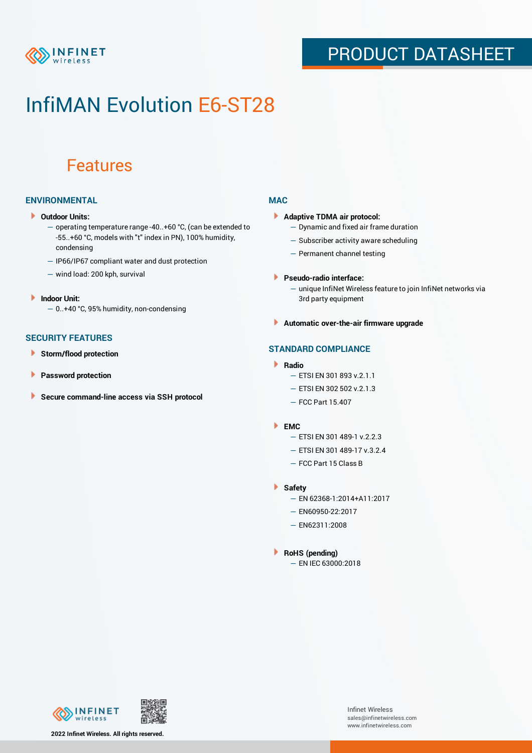

### PRODUCT DATASHEET

## InfiMAN Evolution E6-ST28

### Features

### **ENVIRONMENTAL**

- **Outdoor Units:**
	- operating temperature range -40..+60 °C, (can be extended to -55..+60 °С, models with "t" index in PN), 100% humidity, condensing
	- IP66/IP67 compliant water and dust protection
	- wind load: 200 kph, survival
- **Indoor Unit:**
	- 0..+40 °C, 95% humidity, non-condensing

### **SECURITY FEATURES**

- Þ **Storm/flood protection**
- ۱ **Password protection**
- **Secure command-line access via SSH protocol** Þ

### **MAC**

- **Adaptive TDMA air protocol:**
	- Dynamic and fixed air frame duration
	- Subscriber activity aware scheduling
	- Permanent channel testing
- **Pseudo-radio interface:**
	- unique InfiNet Wireless feature to join InfiNet networks via 3rd party equipment
- **Automatic over-the-air firmware upgrade**

### **STANDARD COMPLIANCE**

- **Radio**
	- ETSI EN 301 893 v.2.1.1
	- ETSI EN 302 502 v.2.1.3
	- FCC Part 15.407

#### **EMC**

- ETSI EN 301 489-1 v.2.2.3
	- ETSI EN 301 489-17 v.3.2.4
	- FCC Part 15 Class B
- **Safety**
	- EN 62368-1:2014+A11:2017
	- EN60950-22:2017
	- EN62311:2008
- **RoHS (pending)**
	- EN IEC 63000:2018